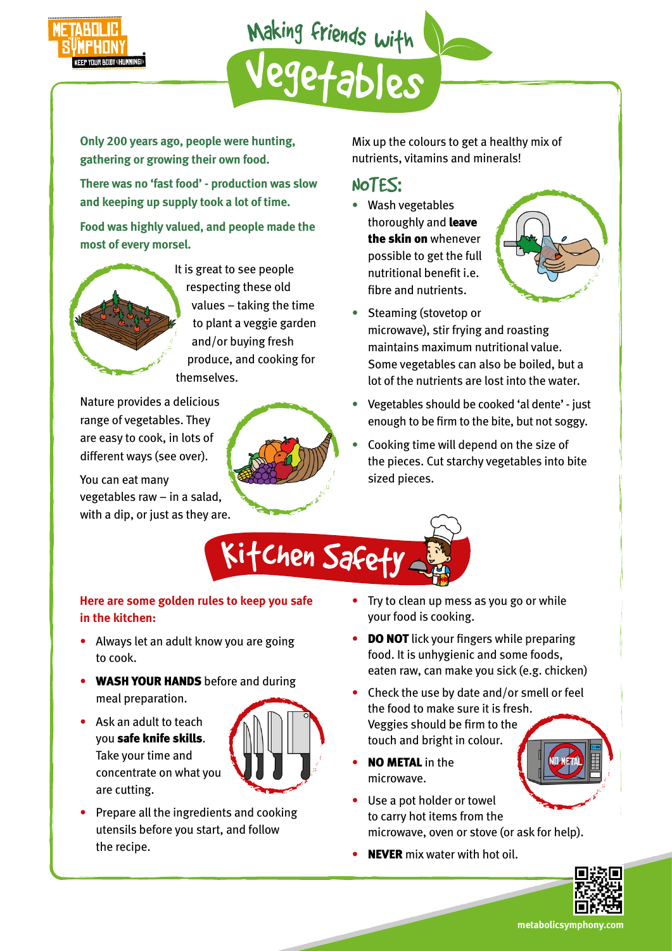

Making friends with

**Only 200 years ago, people were hunting, gathering or growing their own food.**

**There was no 'fast food' - production was slow and keeping up supply took a lot of time.**

**Food was highly valued, and people made the most of every morsel.**



It is great to see people respecting these old values – taking the time to plant a veggie garden and/or buying fresh produce, and cooking for themselves.

Nature provides a delicious range of vegetables. They are easy to cook, in lots of different ways (see over).

You can eat many vegetables raw – in a salad, with a dip, or just as they are.



Mix up the colours to get a healthy mix of nutrients, vitamins and minerals!

## NOTES:

• Wash vegetables thoroughly and leave the skin on whenever possible to get the full nutritional benefit i.e. fibre and nutrients.



- Steaming (stovetop or microwave), stir frying and roasting maintains maximum nutritional value. Some vegetables can also be boiled, but a lot of the nutrients are lost into the water.
- Vegetables should be cooked 'al dente' just enough to be firm to the bite, but not soggy.
- Cooking time will depend on the size of the pieces. Cut starchy vegetables into bite sized pieces.

Ki†Chen Safet

## **Here are some golden rules to keep you safe in the kitchen:**

- Always let an adult know you are going to cook.
- WASH YOUR HANDS before and during meal preparation.
- Ask an adult to teach you safe knife skills. Take your time and concentrate on what you are cutting.



• Prepare all the ingredients and cooking utensils before you start, and follow the recipe.

- Try to clean up mess as you go or while your food is cooking.
- DO NOT lick your fingers while preparing food. It is unhygienic and some foods, eaten raw, can make you sick (e.g. chicken)
- Check the use by date and/or smell or feel the food to make sure it is fresh. Veggies should be firm to the touch and bright in colour.
- **NO METAL** in the microwave.
- Use a pot holder or towel to carry hot items from the microwave, oven or stove (or ask for help).
- **NEVER** mix water with hot oil.



## **metabolicsymphony.com**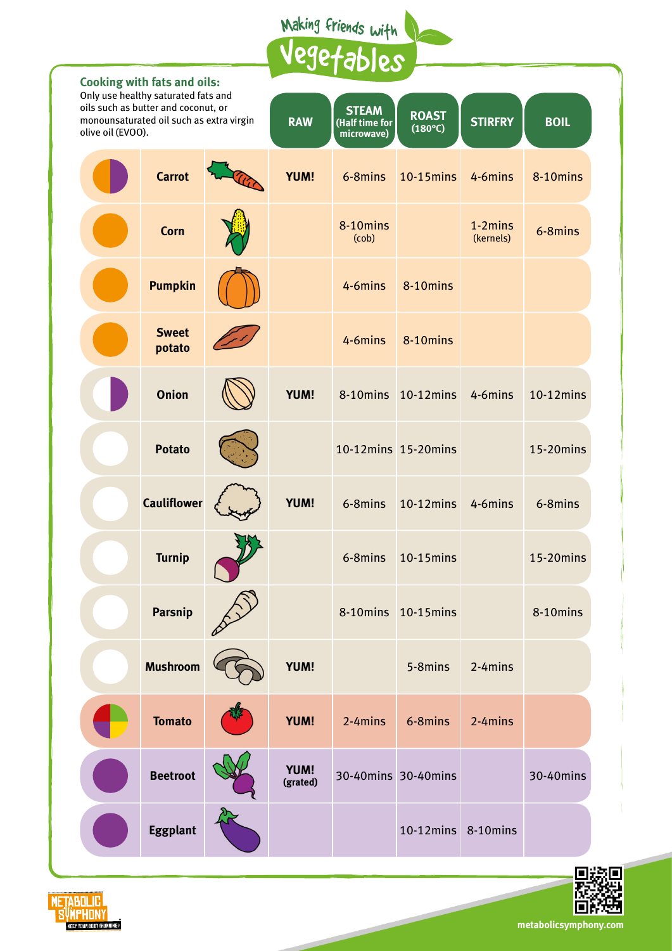Making friends with

|                                                                                                      | <b>Cooking with fats and oils:</b><br>Only use healthy saturated fats and |  | 76150                   |                                              |                                  |                         |             |  |
|------------------------------------------------------------------------------------------------------|---------------------------------------------------------------------------|--|-------------------------|----------------------------------------------|----------------------------------|-------------------------|-------------|--|
| oils such as butter and coconut, or<br>monounsaturated oil such as extra virgin<br>olive oil (EVOO). |                                                                           |  | <b>RAW</b>              | <b>STEAM</b><br>(Half time for<br>microwave) | <b>ROAST</b><br>$(180^{\circ}C)$ | <b>STIRFRY</b>          | <b>BOIL</b> |  |
|                                                                                                      | <b>Carrot</b>                                                             |  | <b>YUM!</b>             | 6-8mins                                      | 10-15mins                        | 4-6mins                 | 8-10mins    |  |
|                                                                                                      | <b>Corn</b>                                                               |  |                         | 8-10mins<br>(cob)                            |                                  | $1-2 mins$<br>(kernels) | 6-8mins     |  |
|                                                                                                      | <b>Pumpkin</b>                                                            |  |                         | 4-6mins                                      | 8-10mins                         |                         |             |  |
|                                                                                                      | <b>Sweet</b><br>potato                                                    |  |                         | 4-6mins                                      | 8-10mins                         |                         |             |  |
|                                                                                                      | <b>Onion</b>                                                              |  | <b>YUM!</b>             | 8-10mins                                     | $10-12$ mins                     | 4-6mins                 | 10-12mins   |  |
|                                                                                                      | <b>Potato</b>                                                             |  |                         |                                              | 10-12mins 15-20mins              |                         | 15-20mins   |  |
|                                                                                                      | <b>Cauliflower</b>                                                        |  | <b>YUM!</b>             | 6-8mins                                      | 10-12mins                        | 4-6mins                 | 6-8mins     |  |
|                                                                                                      | <b>Turnip</b>                                                             |  |                         | 6-8mins                                      | $10-15$ mins                     |                         | 15-20mins   |  |
|                                                                                                      | Parsnip                                                                   |  |                         |                                              | 8-10mins 10-15mins               |                         | 8-10mins    |  |
|                                                                                                      | <b>Mushroom</b>                                                           |  | <b>YUM!</b>             |                                              | 5-8mins                          | 2-4mins                 |             |  |
|                                                                                                      | <b>Tomato</b>                                                             |  | <b>YUM!</b>             | 2-4mins                                      | 6-8mins                          | 2-4mins                 |             |  |
|                                                                                                      | <b>Beetroot</b>                                                           |  | <b>YUM!</b><br>(grated) |                                              | 30-40mins 30-40mins              |                         | 30-40mins   |  |
|                                                                                                      | <b>Eggplant</b>                                                           |  |                         |                                              | 10-12mins 8-10mins               |                         |             |  |





**metabolicsymphony.com**